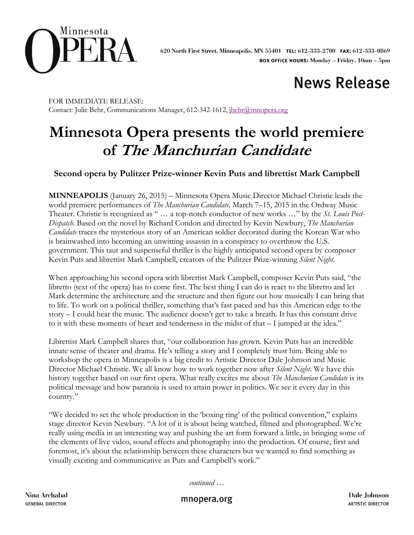

# **News Release**

FOR IMMEDIATE RELEASE: Contact: Julie Behr, Communications Manager, 612-342-1612, [jbehr@mnopera.org](mailto:jbehr@mnopera.org)

## **Minnesota Opera presents the world premiere of The Manchurian Candidate**

### **Second opera by Pulitzer Prize-winner Kevin Puts and librettist Mark Campbell**

**MINNEAPOLIS** (January 26, 2015) – Minnesota Opera Music Director Michael Christie leads the world premiere performances of *The Manchurian Candidate,* March 7–15, 2015 in the Ordway Music Theater. Christie is recognized as " … a top-notch conductor of new works …" by the *St. Louis Post-Dispatch*. Based on the novel by Richard Condon and directed by Kevin Newbury, *The Manchurian Candidate* traces the mysterious story of an American soldier decorated during the Korean War who is brainwashed into becoming an unwitting assassin in a conspiracy to overthrow the U.S. government. This taut and suspenseful thriller is the highly anticipated second opera by composer Kevin Puts and librettist Mark Campbell, creators of the Pulitzer Prize-winning *Silent Night*.

When approaching his second opera with librettist Mark Campbell, composer Kevin Puts said, "the libretto (text of the opera) has to come first. The best thing I can do is react to the libretto and let Mark determine the architecture and the structure and then figure out how musically I can bring that to life. To work on a political thriller, something that's fast paced and has this American edge to the story – I could hear the music. The audience doesn't get to take a breath. It has this constant drive to it with these moments of heart and tenderness in the midst of that – I jumped at the idea."

Librettist Mark Campbell shares that, "our collaboration has grown. Kevin Puts has an incredible innate sense of theater and drama. He's telling a story and I completely trust him. Being able to workshop the opera in Minneapolis is a big credit to Artistic Director Dale Johnson and Music Director Michael Christie. We all know how to work together now after *Silent Night*. We have this history together based on our first opera. What really excites me about *The Manchurian Candidate* is its political message and how paranoia is used to attain power in politics. We see it every day in this country."

"We decided to set the whole production in the 'boxing ring' of the political convention," explains stage director Kevin Newbury. "A lot of it is about being watched, filmed and photographed. We're really using media in an interesting way and pushing the art form forward a little, in bringing some of the elements of live video, sound effects and photography into the production. Of course, first and foremost, it's about the relationship between these characters but we wanted to find something as visually exciting and communicative as Puts and Campbell's work."

*continued …*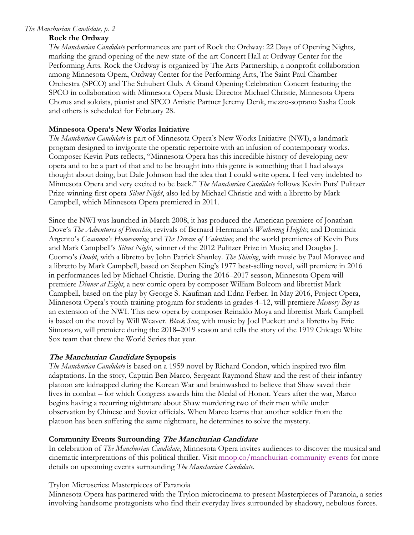#### *The Manchurian Candidate, p. 2*

#### **Rock the Ordway**

*The Manchurian Candidate* performances are part of Rock the Ordway: 22 Days of Opening Nights, marking the grand opening of the new state-of-the-art Concert Hall at Ordway Center for the Performing Arts. Rock the Ordway is organized by The Arts Partnership, a nonprofit collaboration among Minnesota Opera, Ordway Center for the Performing Arts, The Saint Paul Chamber Orchestra (SPCO) and The Schubert Club. A Grand Opening Celebration Concert featuring the SPCO in collaboration with Minnesota Opera Music Director Michael Christie, Minnesota Opera Chorus and soloists, pianist and SPCO Artistic Partner Jeremy Denk, mezzo-soprano Sasha Cook and others is scheduled for February 28.

#### **Minnesota Opera's New Works Initiative**

*The Manchurian Candidate* is part of Minnesota Opera's New Works Initiative (NWI), a landmark program designed to invigorate the operatic repertoire with an infusion of contemporary works. Composer Kevin Puts reflects, "Minnesota Opera has this incredible history of developing new opera and to be a part of that and to be brought into this genre is something that I had always thought about doing, but Dale Johnson had the idea that I could write opera. I feel very indebted to Minnesota Opera and very excited to be back." *The Manchurian Candidate* follows Kevin Puts' Pulitzer Prize-winning first opera *Silent Night*, also led by Michael Christie and with a libretto by Mark Campbell, which Minnesota Opera premiered in 2011.

Since the NWI was launched in March 2008, it has produced the American premiere of Jonathan Dove's *The Adventures of Pinocchio*; revivals of Bernard Herrmann's *Wuthering Heights*; and Dominick Argento's *Casanova's Homecoming* and *The Dream of Valentino*; and the world premieres of Kevin Puts and Mark Campbell's *Silent Night*, winner of the 2012 Pulitzer Prize in Music; and Douglas J. Cuomo's *Doubt*, with a libretto by John Patrick Shanley. *The Shining*, with music by Paul Moravec and a libretto by Mark Campbell, based on Stephen King's 1977 best-selling novel, will premiere in 2016 in performances led by Michael Christie. During the 2016–2017 season, Minnesota Opera will premiere *Dinner at Eight*, a new comic opera by composer William Bolcom and librettist Mark Campbell, based on the play by George S. Kaufman and Edna Ferber. In May 2016, Project Opera, Minnesota Opera's youth training program for students in grades 4–12, will premiere *Memory Boy* as an extension of the NWI. This new opera by composer Reinaldo Moya and librettist Mark Campbell is based on the novel by Will Weaver. *Black Sox*, with music by Joel Puckett and a libretto by Eric Simonson, will premiere during the 2018–2019 season and tells the story of the 1919 Chicago White Sox team that threw the World Series that year.

#### **The Manchurian Candidate Synopsis**

*The Manchurian Candidate* is based on a 1959 novel by Richard Condon, which inspired two film adaptations. In the story, Captain Ben Marco, Sergeant Raymond Shaw and the rest of their infantry platoon are kidnapped during the Korean War and brainwashed to believe that Shaw saved their lives in combat – for which Congress awards him the Medal of Honor. Years after the war, Marco begins having a recurring nightmare about Shaw murdering two of their men while under observation by Chinese and Soviet officials. When Marco learns that another soldier from the platoon has been suffering the same nightmare, he determines to solve the mystery.

#### **Community Events Surrounding The Manchurian Candidate**

In celebration of *The Manchurian Candidate*, Minnesota Opera invites audiences to discover the musical and cinematic interpretations of this political thriller. Visit [mnop.co/manchurian-community-events](http://www.mnopera.org/season/2014-2015/the-manchurian-candidate/community-events/) for more details on upcoming events surrounding *The Manchurian Candidate*.

#### Trylon Microseries: Masterpieces of Paranoia

Minnesota Opera has partnered with the Trylon microcinema to present Masterpieces of Paranoia, a series involving handsome protagonists who find their everyday lives surrounded by shadowy, nebulous forces.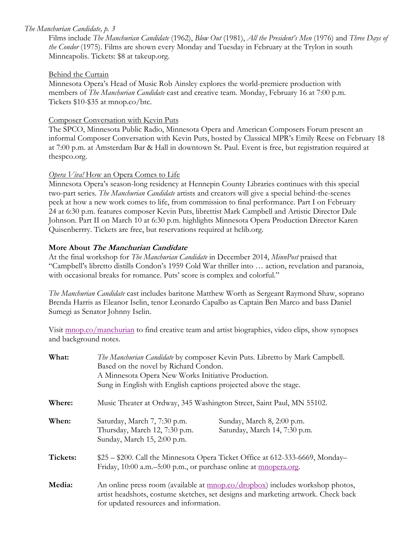#### *The Manchurian Candidate, p. 3*

Films include *The Manchurian Candidate* (1962), *Blow Out* (1981), *All the President's Men* (1976) and *Three Days of the Condor* (1975). Films are shown every Monday and Tuesday in February at the Trylon in south Minneapolis. Tickets: \$8 at takeup.org.

#### Behind the Curtain

Minnesota Opera's Head of Music Rob Ainsley explores the world-premiere production with members of *The Manchurian Candidate* cast and creative team. Monday, February 16 at 7:00 p.m. Tickets \$10-\$35 at mnop.co/btc.

#### Composer Conversation with Kevin Puts

The SPCO, Minnesota Public Radio, Minnesota Opera and American Composers Forum present an informal Composer Conversation with Kevin Puts, hosted by Classical MPR's Emily Reese on February 18 at 7:00 p.m. at Amsterdam Bar & Hall in downtown St. Paul. Event is free, but registration required at thespco.org.

#### *Opera Viva!* How an Opera Comes to Life

Minnesota Opera's season-long residency at Hennepin County Libraries continues with this special two-part series. *The Manchurian Candidate* artists and creators will give a special behind-the-scenes peek at how a new work comes to life, from commission to final performance. Part I on February 24 at 6:30 p.m. features composer Kevin Puts, librettist Mark Campbell and Artistic Director Dale Johnson. Part II on March 10 at 6:30 p.m. highlights Minnesota Opera Production Director Karen Quisenberrry. Tickets are free, but reservations required at hclib.org.

#### **More About The Manchurian Candidate**

At the final workshop for *The Manchurian Candidate* in December 2014, *MinnPost* praised that "Campbell's libretto distills Condon's 1959 Cold War thriller into … action, revelation and paranoia, with occasional breaks for romance. Puts' score is complex and colorful."

*The Manchurian Candidate* cast includes baritone Matthew Worth as Sergeant Raymond Shaw, soprano Brenda Harris as Eleanor Iselin, tenor Leonardo Capalbo as Captain Ben Marco and bass Daniel Sumegi as Senator Johnny Iselin.

Visit [mnop.co/manchurian](http://www.mnopera.org/season/2014-2015/the-manchurian-candidate/) to find creative team and artist biographies, video clips, show synopses and background notes.

| What:    | The Manchurian Candidate by composer Kevin Puts. Libretto by Mark Campbell.<br>Based on the novel by Richard Condon.<br>A Minnesota Opera New Works Initiative Production.                                           |                                                             |  |
|----------|----------------------------------------------------------------------------------------------------------------------------------------------------------------------------------------------------------------------|-------------------------------------------------------------|--|
|          | Sung in English with English captions projected above the stage.                                                                                                                                                     |                                                             |  |
| Where:   | Music Theater at Ordway, 345 Washington Street, Saint Paul, MN 55102.                                                                                                                                                |                                                             |  |
| When:    | Saturday, March 7, 7:30 p.m.<br>Thursday, March 12, 7:30 p.m.<br>Sunday, March 15, 2:00 p.m.                                                                                                                         | Sunday, March 8, 2:00 p.m.<br>Saturday, March 14, 7:30 p.m. |  |
| Tickets: | \$25 – \$200. Call the Minnesota Opera Ticket Office at 612-333-6669, Monday-<br>Friday, 10:00 a.m.–5:00 p.m., or purchase online at <u>mnopera.org</u> .                                                            |                                                             |  |
| Media:   | An online press room (available at <u>mnop.co/dropbox</u> ) includes workshop photos,<br>artist headshots, costume sketches, set designs and marketing artwork. Check back<br>for updated resources and information. |                                                             |  |